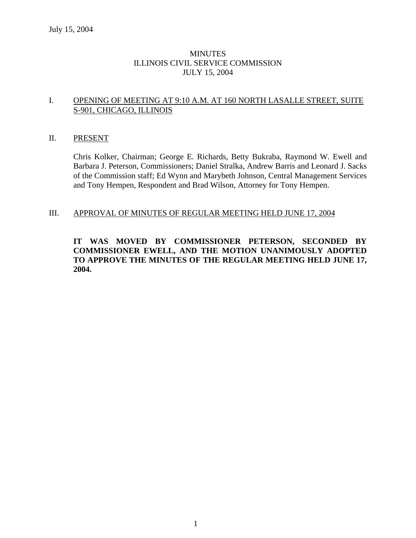### **MINUTES** ILLINOIS CIVIL SERVICE COMMISSION JULY 15, 2004

### I. OPENING OF MEETING AT 9:10 A.M. AT 160 NORTH LASALLE STREET, SUITE S-901, CHICAGO, ILLINOIS

### II. PRESENT

Chris Kolker, Chairman; George E. Richards, Betty Bukraba, Raymond W. Ewell and Barbara J. Peterson, Commissioners; Daniel Stralka, Andrew Barris and Leonard J. Sacks of the Commission staff; Ed Wynn and Marybeth Johnson, Central Management Services and Tony Hempen, Respondent and Brad Wilson, Attorney for Tony Hempen.

### III. APPROVAL OF MINUTES OF REGULAR MEETING HELD JUNE 17, 2004

### **IT WAS MOVED BY COMMISSIONER PETERSON, SECONDED BY COMMISSIONER EWELL, AND THE MOTION UNANIMOUSLY ADOPTED TO APPROVE THE MINUTES OF THE REGULAR MEETING HELD JUNE 17, 2004.**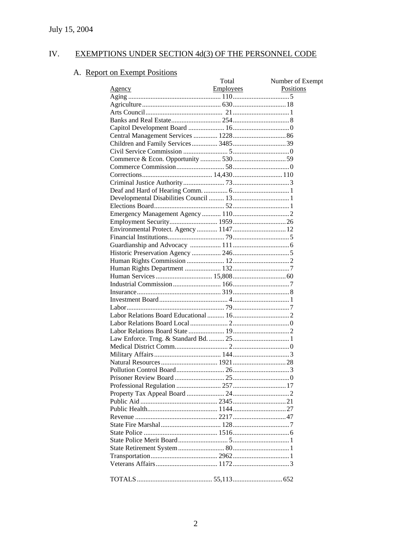#### IV. EXEMPTIONS UNDER SECTION 4d(3) OF THE PERSONNEL CODE

# A. Report on Exempt Positions

| t on Exempt Positions               |           |                  |
|-------------------------------------|-----------|------------------|
|                                     | Total     | Number of Exempt |
| <u>Agency</u>                       | Employees | Positions        |
|                                     |           |                  |
|                                     |           |                  |
|                                     |           |                  |
|                                     |           |                  |
|                                     |           |                  |
|                                     |           |                  |
| Children and Family Services 348539 |           |                  |
|                                     |           |                  |
|                                     |           |                  |
|                                     |           |                  |
|                                     |           |                  |
|                                     |           |                  |
|                                     |           |                  |
|                                     |           |                  |
|                                     |           |                  |
|                                     |           |                  |
|                                     |           |                  |
|                                     |           |                  |
|                                     |           |                  |
|                                     |           |                  |
|                                     |           |                  |
|                                     |           |                  |
|                                     |           |                  |
|                                     |           |                  |
|                                     |           |                  |
|                                     |           |                  |
|                                     |           |                  |
|                                     |           |                  |
|                                     |           |                  |
|                                     |           |                  |
|                                     |           |                  |
|                                     |           |                  |
|                                     |           |                  |
|                                     |           |                  |
|                                     |           |                  |
|                                     |           |                  |
|                                     |           |                  |
|                                     |           |                  |
|                                     |           |                  |
|                                     |           |                  |
|                                     |           |                  |
|                                     |           |                  |
|                                     |           |                  |
|                                     |           |                  |
|                                     |           |                  |
|                                     |           |                  |
|                                     |           |                  |
|                                     |           |                  |
|                                     |           |                  |
|                                     |           |                  |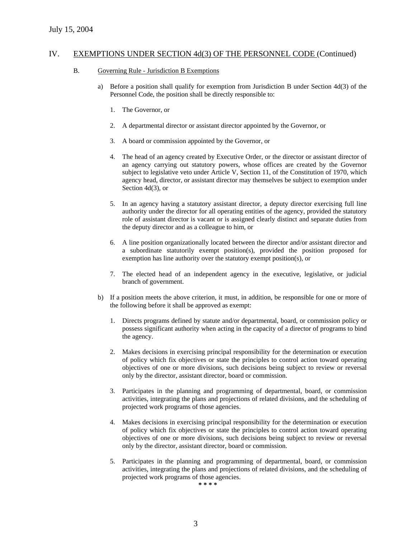#### B. Governing Rule - Jurisdiction B Exemptions

- a) Before a position shall qualify for exemption from Jurisdiction B under Section 4d(3) of the Personnel Code, the position shall be directly responsible to:
	- 1. The Governor, or
	- 2. A departmental director or assistant director appointed by the Governor, or
	- 3. A board or commission appointed by the Governor, or
	- 4. The head of an agency created by Executive Order, or the director or assistant director of an agency carrying out statutory powers, whose offices are created by the Governor subject to legislative veto under Article V, Section 11, of the Constitution of 1970, which agency head, director, or assistant director may themselves be subject to exemption under Section 4d(3), or
	- 5. In an agency having a statutory assistant director, a deputy director exercising full line authority under the director for all operating entities of the agency, provided the statutory role of assistant director is vacant or is assigned clearly distinct and separate duties from the deputy director and as a colleague to him, or
	- 6. A line position organizationally located between the director and/or assistant director and a subordinate statutorily exempt position(s), provided the position proposed for exemption has line authority over the statutory exempt position(s), or
	- 7. The elected head of an independent agency in the executive, legislative, or judicial branch of government.
- b) If a position meets the above criterion, it must, in addition, be responsible for one or more of the following before it shall be approved as exempt:
	- 1. Directs programs defined by statute and/or departmental, board, or commission policy or possess significant authority when acting in the capacity of a director of programs to bind the agency.
	- 2. Makes decisions in exercising principal responsibility for the determination or execution of policy which fix objectives or state the principles to control action toward operating objectives of one or more divisions, such decisions being subject to review or reversal only by the director, assistant director, board or commission.
	- 3. Participates in the planning and programming of departmental, board, or commission activities, integrating the plans and projections of related divisions, and the scheduling of projected work programs of those agencies.
	- 4. Makes decisions in exercising principal responsibility for the determination or execution of policy which fix objectives or state the principles to control action toward operating objectives of one or more divisions, such decisions being subject to review or reversal only by the director, assistant director, board or commission.
	- 5. Participates in the planning and programming of departmental, board, or commission activities, integrating the plans and projections of related divisions, and the scheduling of projected work programs of those agencies.

**\* \* \* \***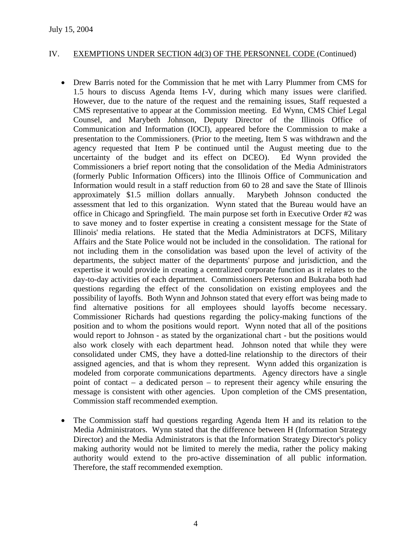- Drew Barris noted for the Commission that he met with Larry Plummer from CMS for 1.5 hours to discuss Agenda Items I-V, during which many issues were clarified. However, due to the nature of the request and the remaining issues, Staff requested a CMS representative to appear at the Commission meeting. Ed Wynn, CMS Chief Legal Counsel, and Marybeth Johnson, Deputy Director of the Illinois Office of Communication and Information (IOCI), appeared before the Commission to make a presentation to the Commissioners. (Prior to the meeting, Item S was withdrawn and the agency requested that Item P be continued until the August meeting due to the uncertainty of the budget and its effect on DCEO). Ed Wynn provided the Commissioners a brief report noting that the consolidation of the Media Administrators (formerly Public Information Officers) into the Illinois Office of Communication and Information would result in a staff reduction from 60 to 28 and save the State of Illinois approximately \$1.5 million dollars annually. Marybeth Johnson conducted the assessment that led to this organization. Wynn stated that the Bureau would have an office in Chicago and Springfield. The main purpose set forth in Executive Order #2 was to save money and to foster expertise in creating a consistent message for the State of Illinois' media relations. He stated that the Media Administrators at DCFS, Military Affairs and the State Police would not be included in the consolidation. The rational for not including them in the consolidation was based upon the level of activity of the departments, the subject matter of the departments' purpose and jurisdiction, and the expertise it would provide in creating a centralized corporate function as it relates to the day-to-day activities of each department. Commissioners Peterson and Bukraba both had questions regarding the effect of the consolidation on existing employees and the possibility of layoffs. Both Wynn and Johnson stated that every effort was being made to find alternative positions for all employees should layoffs become necessary. Commissioner Richards had questions regarding the policy-making functions of the position and to whom the positions would report. Wynn noted that all of the positions would report to Johnson - as stated by the organizational chart - but the positions would also work closely with each department head. Johnson noted that while they were consolidated under CMS, they have a dotted-line relationship to the directors of their assigned agencies, and that is whom they represent. Wynn added this organization is modeled from corporate communications departments. Agency directors have a single point of contact – a dedicated person – to represent their agency while ensuring the message is consistent with other agencies. Upon completion of the CMS presentation, Commission staff recommended exemption.
- The Commission staff had questions regarding Agenda Item H and its relation to the Media Administrators. Wynn stated that the difference between H (Information Strategy Director) and the Media Administrators is that the Information Strategy Director's policy making authority would not be limited to merely the media, rather the policy making authority would extend to the pro-active dissemination of all public information. Therefore, the staff recommended exemption.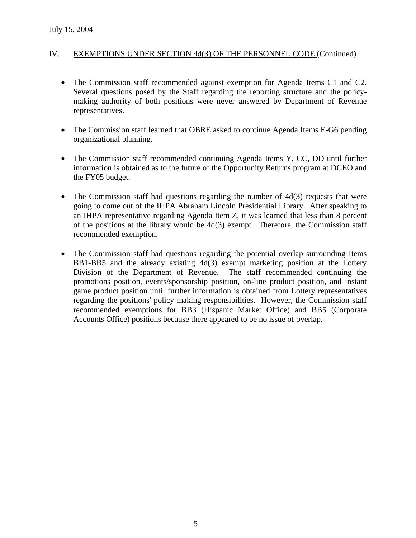- The Commission staff recommended against exemption for Agenda Items C1 and C2. Several questions posed by the Staff regarding the reporting structure and the policymaking authority of both positions were never answered by Department of Revenue representatives.
- The Commission staff learned that OBRE asked to continue Agenda Items E-G6 pending organizational planning.
- The Commission staff recommended continuing Agenda Items Y, CC, DD until further information is obtained as to the future of the Opportunity Returns program at DCEO and the FY05 budget.
- The Commission staff had questions regarding the number of  $4d(3)$  requests that were going to come out of the IHPA Abraham Lincoln Presidential Library. After speaking to an IHPA representative regarding Agenda Item Z, it was learned that less than 8 percent of the positions at the library would be 4d(3) exempt. Therefore, the Commission staff recommended exemption.
- The Commission staff had questions regarding the potential overlap surrounding Items BB1-BB5 and the already existing 4d(3) exempt marketing position at the Lottery Division of the Department of Revenue. The staff recommended continuing the promotions position, events/sponsorship position, on-line product position, and instant game product position until further information is obtained from Lottery representatives regarding the positions' policy making responsibilities. However, the Commission staff recommended exemptions for BB3 (Hispanic Market Office) and BB5 (Corporate Accounts Office) positions because there appeared to be no issue of overlap.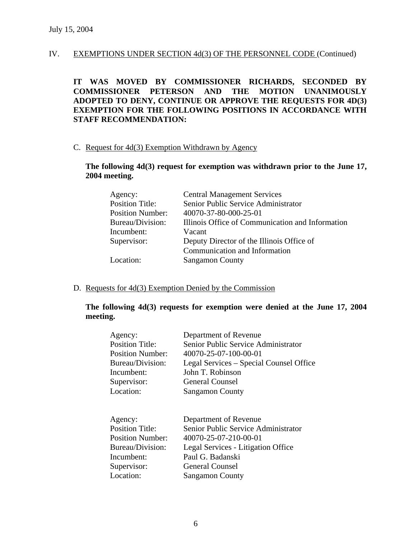**IT WAS MOVED BY COMMISSIONER RICHARDS, SECONDED BY COMMISSIONER PETERSON AND THE MOTION UNANIMOUSLY ADOPTED TO DENY, CONTINUE OR APPROVE THE REQUESTS FOR 4D(3) EXEMPTION FOR THE FOLLOWING POSITIONS IN ACCORDANCE WITH STAFF RECOMMENDATION:** 

#### C. Request for 4d(3) Exemption Withdrawn by Agency

### **The following 4d(3) request for exemption was withdrawn prior to the June 17, 2004 meeting.**

| Agency:                 | <b>Central Management Services</b>               |
|-------------------------|--------------------------------------------------|
| <b>Position Title:</b>  | Senior Public Service Administrator              |
| <b>Position Number:</b> | 40070-37-80-000-25-01                            |
| Bureau/Division:        | Illinois Office of Communication and Information |
| Incumbent:              | Vacant                                           |
| Supervisor:             | Deputy Director of the Illinois Office of        |
|                         | Communication and Information                    |
| Location:               | <b>Sangamon County</b>                           |
|                         |                                                  |

### D. Requests for 4d(3) Exemption Denied by the Commission

### **The following 4d(3) requests for exemption were denied at the June 17, 2004 meeting.**

| Agency:<br><b>Position Title:</b><br>Position Number:<br>Bureau/Division:                                                  | Department of Revenue<br>Senior Public Service Administrator<br>40070-25-07-100-00-01                                                                                     |
|----------------------------------------------------------------------------------------------------------------------------|---------------------------------------------------------------------------------------------------------------------------------------------------------------------------|
| Incumbent:                                                                                                                 | Legal Services – Special Counsel Office<br>John T. Robinson                                                                                                               |
| Supervisor:                                                                                                                | <b>General Counsel</b>                                                                                                                                                    |
| Location:                                                                                                                  | <b>Sangamon County</b>                                                                                                                                                    |
| Agency:<br><b>Position Title:</b><br><b>Position Number:</b><br>Bureau/Division:<br>Incumbent:<br>Supervisor:<br>Location: | Department of Revenue<br>Senior Public Service Administrator<br>40070-25-07-210-00-01<br>Legal Services - Litigation Office<br>Paul G. Badanski<br><b>General Counsel</b> |
|                                                                                                                            | <b>Sangamon County</b>                                                                                                                                                    |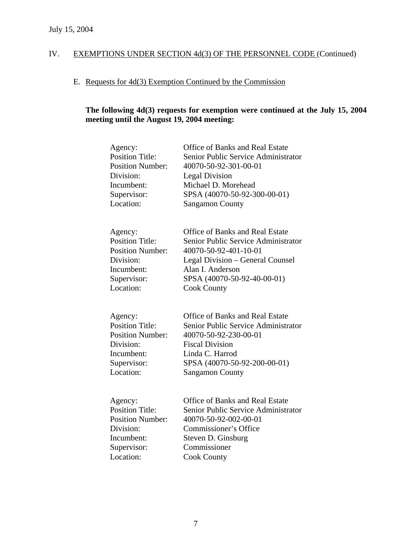# E. Requests for 4d(3) Exemption Continued by the Commission

# **The following 4d(3) requests for exemption were continued at the July 15, 2004 meeting until the August 19, 2004 meeting:**

| Agency:<br><b>Position Title:</b><br><b>Position Number:</b><br>Division:<br>Incumbent:<br>Supervisor:<br>Location: | Office of Banks and Real Estate<br>Senior Public Service Administrator<br>40070-50-92-301-00-01<br><b>Legal Division</b><br>Michael D. Morehead<br>SPSA (40070-50-92-300-00-01)<br><b>Sangamon County</b>           |
|---------------------------------------------------------------------------------------------------------------------|---------------------------------------------------------------------------------------------------------------------------------------------------------------------------------------------------------------------|
| Agency:<br><b>Position Title:</b><br><b>Position Number:</b><br>Division:<br>Incumbent:<br>Supervisor:<br>Location: | <b>Office of Banks and Real Estate</b><br>Senior Public Service Administrator<br>40070-50-92-401-10-01<br>Legal Division – General Counsel<br>Alan I. Anderson<br>SPSA (40070-50-92-40-00-01)<br><b>Cook County</b> |
| Agency:<br><b>Position Title:</b><br><b>Position Number:</b><br>Division:<br>Incumbent:<br>Supervisor:<br>Location: | <b>Office of Banks and Real Estate</b><br>Senior Public Service Administrator<br>40070-50-92-230-00-01<br><b>Fiscal Division</b><br>Linda C. Harrod<br>SPSA (40070-50-92-200-00-01)<br><b>Sangamon County</b>       |
| Agency:<br><b>Position Title:</b><br><b>Position Number:</b><br>Division:<br>Incumbent:<br>Supervisor:<br>Location: | <b>Office of Banks and Real Estate</b><br>Senior Public Service Administrator<br>40070-50-92-002-00-01<br>Commissioner's Office<br>Steven D. Ginsburg<br>Commissioner<br><b>Cook County</b>                         |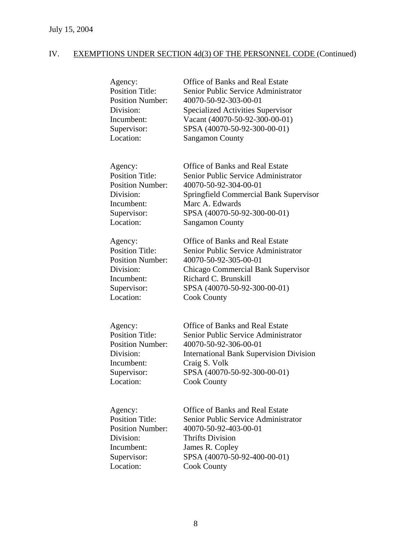| Agency:<br><b>Position Title:</b><br><b>Position Number:</b><br>Division:<br>Incumbent:<br>Supervisor:<br>Location: | <b>Office of Banks and Real Estate</b><br>Senior Public Service Administrator<br>40070-50-92-303-00-01<br>Specialized Activities Supervisor<br>Vacant (40070-50-92-300-00-01)<br>SPSA (40070-50-92-300-00-01)<br><b>Sangamon County</b> |
|---------------------------------------------------------------------------------------------------------------------|-----------------------------------------------------------------------------------------------------------------------------------------------------------------------------------------------------------------------------------------|
| Agency:<br><b>Position Title:</b><br><b>Position Number:</b><br>Division:<br>Incumbent:<br>Supervisor:<br>Location: | Office of Banks and Real Estate<br>Senior Public Service Administrator<br>40070-50-92-304-00-01<br>Springfield Commercial Bank Supervisor<br>Marc A. Edwards<br>SPSA (40070-50-92-300-00-01)<br><b>Sangamon County</b>                  |
| Agency:<br><b>Position Title:</b><br><b>Position Number:</b><br>Division:<br>Incumbent:<br>Supervisor:<br>Location: | <b>Office of Banks and Real Estate</b><br>Senior Public Service Administrator<br>40070-50-92-305-00-01<br>Chicago Commercial Bank Supervisor<br>Richard C. Brunskill<br>SPSA (40070-50-92-300-00-01)<br><b>Cook County</b>              |
| Agency:<br><b>Position Title:</b><br><b>Position Number:</b><br>Division:<br>Incumbent:<br>Supervisor:<br>Location: | <b>Office of Banks and Real Estate</b><br>Senior Public Service Administrator<br>40070-50-92-306-00-01<br><b>International Bank Supervision Division</b><br>Craig S. Volk<br>SPSA (40070-50-92-300-00-01)<br><b>Cook County</b>         |
| Agency:<br><b>Position Title:</b><br><b>Position Number:</b><br>Division:<br>Incumbent:<br>Supervisor:<br>Location: | <b>Office of Banks and Real Estate</b><br>Senior Public Service Administrator<br>40070-50-92-403-00-01<br><b>Thrifts Division</b><br>James R. Copley<br>SPSA (40070-50-92-400-00-01)<br><b>Cook County</b>                              |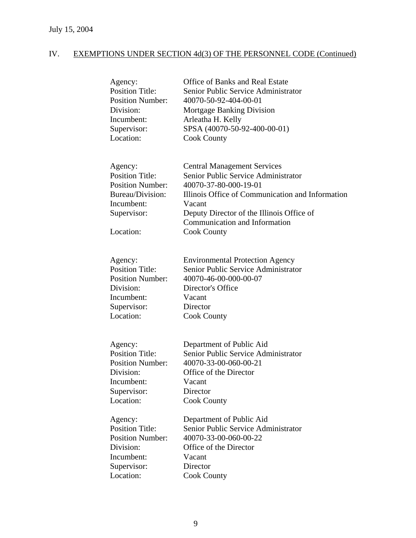| Agency:<br><b>Position Title:</b><br><b>Position Number:</b><br>Division:<br>Incumbent:<br>Supervisor:<br>Location:        | <b>Office of Banks and Real Estate</b><br>Senior Public Service Administrator<br>40070-50-92-404-00-01<br>Mortgage Banking Division<br>Arleatha H. Kelly<br>SPSA (40070-50-92-400-00-01)<br><b>Cook County</b>                                                       |
|----------------------------------------------------------------------------------------------------------------------------|----------------------------------------------------------------------------------------------------------------------------------------------------------------------------------------------------------------------------------------------------------------------|
| Agency:<br><b>Position Title:</b><br><b>Position Number:</b><br>Bureau/Division:<br>Incumbent:<br>Supervisor:<br>Location: | <b>Central Management Services</b><br>Senior Public Service Administrator<br>40070-37-80-000-19-01<br>Illinois Office of Communication and Information<br>Vacant<br>Deputy Director of the Illinois Office of<br>Communication and Information<br><b>Cook County</b> |
| Agency:<br><b>Position Title:</b><br><b>Position Number:</b><br>Division:<br>Incumbent:<br>Supervisor:<br>Location:        | <b>Environmental Protection Agency</b><br>Senior Public Service Administrator<br>40070-46-00-000-00-07<br>Director's Office<br>Vacant<br>Director<br><b>Cook County</b>                                                                                              |
| Agency:<br><b>Position Title:</b><br><b>Position Number:</b><br>Division:<br>Incumbent:<br>Supervisor:<br>Location:        | Department of Public Aid<br>Senior Public Service Administrator<br>40070-33-00-060-00-21<br>Office of the Director<br>Vacant<br>Director<br><b>Cook County</b>                                                                                                       |
| Agency:<br><b>Position Title:</b><br><b>Position Number:</b><br>Division:<br>Incumbent:<br>Supervisor:<br>Location:        | Department of Public Aid<br>Senior Public Service Administrator<br>40070-33-00-060-00-22<br>Office of the Director<br>Vacant<br>Director<br><b>Cook County</b>                                                                                                       |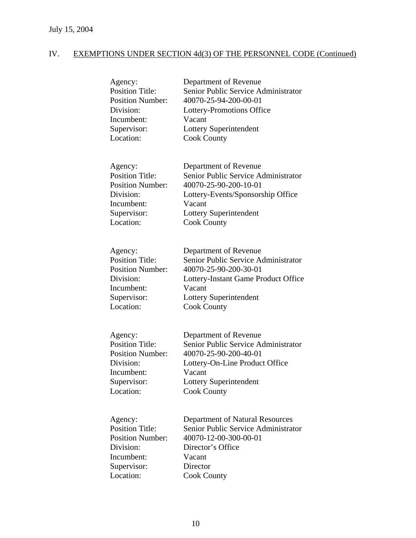| Agency:<br><b>Position Title:</b><br><b>Position Number:</b><br>Division:<br>Incumbent:<br>Supervisor:<br>Location: | Department of Revenue<br>Senior Public Service Administrator<br>40070-25-94-200-00-01<br>Lottery-Promotions Office<br>Vacant<br>Lottery Superintendent<br><b>Cook County</b>           |
|---------------------------------------------------------------------------------------------------------------------|----------------------------------------------------------------------------------------------------------------------------------------------------------------------------------------|
| Agency:<br><b>Position Title:</b><br><b>Position Number:</b><br>Division:<br>Incumbent:<br>Supervisor:<br>Location: | Department of Revenue<br>Senior Public Service Administrator<br>40070-25-90-200-10-01<br>Lottery-Events/Sponsorship Office<br>Vacant<br>Lottery Superintendent<br><b>Cook County</b>   |
| Agency:<br><b>Position Title:</b><br><b>Position Number:</b><br>Division:<br>Incumbent:<br>Supervisor:<br>Location: | Department of Revenue<br>Senior Public Service Administrator<br>40070-25-90-200-30-01<br>Lottery-Instant Game Product Office<br>Vacant<br>Lottery Superintendent<br><b>Cook County</b> |
| Agency:<br><b>Position Title:</b><br><b>Position Number:</b><br>Division:<br>Incumbent:<br>Supervisor:<br>Location: | Department of Revenue<br>Senior Public Service Administrator<br>40070-25-90-200-40-01<br>Lottery-On-Line Product Office<br>Vacant<br>Lottery Superintendent<br><b>Cook County</b>      |
| Agency:<br><b>Position Title:</b><br><b>Position Number:</b><br>Division:<br>Incumbent:<br>Supervisor:<br>Location: | Department of Natural Resources<br>Senior Public Service Administrator<br>40070-12-00-300-00-01<br>Director's Office<br>Vacant<br>Director<br><b>Cook County</b>                       |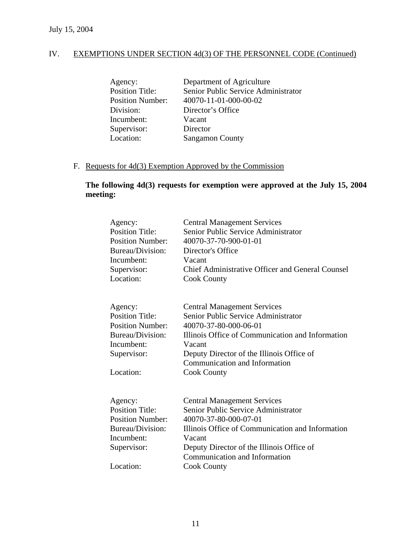| Agency:                 | Department of Agriculture           |
|-------------------------|-------------------------------------|
| <b>Position Title:</b>  | Senior Public Service Administrator |
| <b>Position Number:</b> | 40070-11-01-000-00-02               |
| Division:               | Director's Office                   |
| Incumbent:              | Vacant                              |
| Supervisor:             | Director                            |
| Location:               | <b>Sangamon County</b>              |
|                         |                                     |

# F. Requests for 4d(3) Exemption Approved by the Commission

## **The following 4d(3) requests for exemption were approved at the July 15, 2004 meeting:**

| Agency:<br><b>Position Title:</b><br><b>Position Number:</b><br>Bureau/Division:<br>Incumbent:<br>Supervisor:              | <b>Central Management Services</b><br>Senior Public Service Administrator<br>40070-37-70-900-01-01<br>Director's Office<br>Vacant<br><b>Chief Administrative Officer and General Counsel</b>                                                                         |
|----------------------------------------------------------------------------------------------------------------------------|----------------------------------------------------------------------------------------------------------------------------------------------------------------------------------------------------------------------------------------------------------------------|
| Location:                                                                                                                  | <b>Cook County</b>                                                                                                                                                                                                                                                   |
| Agency:<br><b>Position Title:</b><br><b>Position Number:</b><br>Bureau/Division:<br>Incumbent:<br>Supervisor:<br>Location: | <b>Central Management Services</b><br>Senior Public Service Administrator<br>40070-37-80-000-06-01<br>Illinois Office of Communication and Information<br>Vacant<br>Deputy Director of the Illinois Office of<br>Communication and Information<br><b>Cook County</b> |
| Agency:<br><b>Position Title:</b><br><b>Position Number:</b><br>Bureau/Division:<br>Incumbent:<br>Supervisor:<br>Location: | <b>Central Management Services</b><br>Senior Public Service Administrator<br>40070-37-80-000-07-01<br>Illinois Office of Communication and Information<br>Vacant<br>Deputy Director of the Illinois Office of<br>Communication and Information<br><b>Cook County</b> |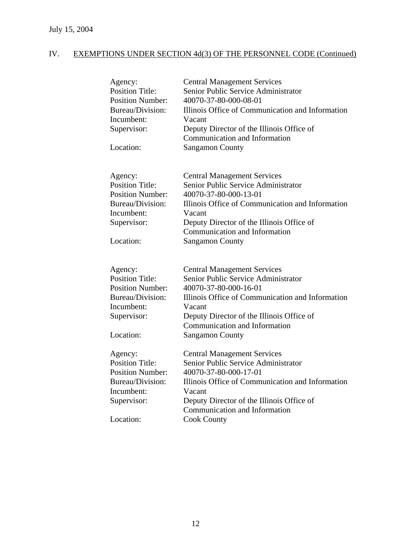| Agency:<br><b>Position Title:</b><br><b>Position Number:</b><br>Bureau/Division:<br>Incumbent:<br>Supervisor: | <b>Central Management Services</b><br>Senior Public Service Administrator<br>40070-37-80-000-08-01<br>Illinois Office of Communication and Information<br>Vacant<br>Deputy Director of the Illinois Office of<br>Communication and Information |
|---------------------------------------------------------------------------------------------------------------|------------------------------------------------------------------------------------------------------------------------------------------------------------------------------------------------------------------------------------------------|
| Location:                                                                                                     | <b>Sangamon County</b>                                                                                                                                                                                                                         |
|                                                                                                               |                                                                                                                                                                                                                                                |
| Agency:                                                                                                       | <b>Central Management Services</b>                                                                                                                                                                                                             |
| <b>Position Title:</b><br><b>Position Number:</b>                                                             | Senior Public Service Administrator<br>40070-37-80-000-13-01                                                                                                                                                                                   |
| Bureau/Division:                                                                                              | Illinois Office of Communication and Information                                                                                                                                                                                               |
| Incumbent:                                                                                                    | Vacant                                                                                                                                                                                                                                         |
| Supervisor:                                                                                                   | Deputy Director of the Illinois Office of<br>Communication and Information                                                                                                                                                                     |
| Location:                                                                                                     | <b>Sangamon County</b>                                                                                                                                                                                                                         |
|                                                                                                               |                                                                                                                                                                                                                                                |
| Agency:                                                                                                       | <b>Central Management Services</b>                                                                                                                                                                                                             |
| <b>Position Title:</b>                                                                                        | Senior Public Service Administrator                                                                                                                                                                                                            |
| <b>Position Number:</b>                                                                                       | 40070-37-80-000-16-01                                                                                                                                                                                                                          |
| Bureau/Division:                                                                                              | Illinois Office of Communication and Information                                                                                                                                                                                               |
| Incumbent:                                                                                                    | Vacant                                                                                                                                                                                                                                         |
| Supervisor:                                                                                                   | Deputy Director of the Illinois Office of<br>Communication and Information                                                                                                                                                                     |
| Location:                                                                                                     | <b>Sangamon County</b>                                                                                                                                                                                                                         |
|                                                                                                               |                                                                                                                                                                                                                                                |
| Agency:                                                                                                       | <b>Central Management Services</b>                                                                                                                                                                                                             |
| <b>Position Title:</b>                                                                                        | Senior Public Service Administrator                                                                                                                                                                                                            |
| <b>Position Number:</b>                                                                                       | 40070-37-80-000-17-01                                                                                                                                                                                                                          |
| Bureau/Division:                                                                                              | Illinois Office of Communication and Information                                                                                                                                                                                               |
| Incumbent:                                                                                                    | Vacant                                                                                                                                                                                                                                         |
| Supervisor:                                                                                                   | Deputy Director of the Illinois Office of                                                                                                                                                                                                      |
| Location:                                                                                                     | Communication and Information                                                                                                                                                                                                                  |
|                                                                                                               | <b>Cook County</b>                                                                                                                                                                                                                             |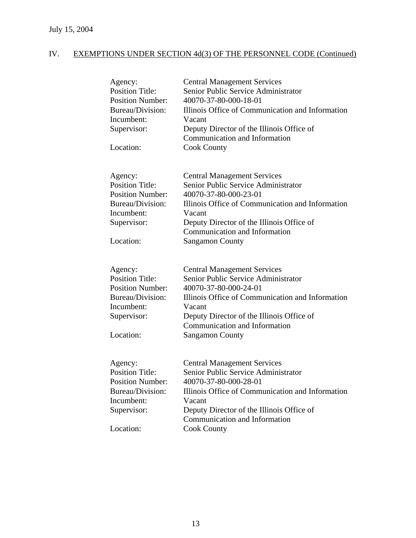| Agency:<br><b>Position Title:</b><br><b>Position Number:</b><br>Bureau/Division:<br>Incumbent:<br>Supervisor:<br>Location: | <b>Central Management Services</b><br>Senior Public Service Administrator<br>40070-37-80-000-18-01<br>Illinois Office of Communication and Information<br>Vacant<br>Deputy Director of the Illinois Office of<br>Communication and Information<br><b>Cook County</b>     |
|----------------------------------------------------------------------------------------------------------------------------|--------------------------------------------------------------------------------------------------------------------------------------------------------------------------------------------------------------------------------------------------------------------------|
| Agency:<br><b>Position Title:</b><br><b>Position Number:</b><br>Bureau/Division:<br>Incumbent:<br>Supervisor:<br>Location: | <b>Central Management Services</b><br>Senior Public Service Administrator<br>40070-37-80-000-23-01<br>Illinois Office of Communication and Information<br>Vacant<br>Deputy Director of the Illinois Office of<br>Communication and Information<br><b>Sangamon County</b> |
| Agency:<br><b>Position Title:</b><br><b>Position Number:</b><br>Bureau/Division:<br>Incumbent:<br>Supervisor:<br>Location: | <b>Central Management Services</b><br>Senior Public Service Administrator<br>40070-37-80-000-24-01<br>Illinois Office of Communication and Information<br>Vacant<br>Deputy Director of the Illinois Office of<br>Communication and Information<br><b>Sangamon County</b> |
| Agency:<br><b>Position Title:</b><br>Position Number:<br>Bureau/Division:<br>Incumbent:<br>Supervisor:<br>Location:        | <b>Central Management Services</b><br>Senior Public Service Administrator<br>40070-37-80-000-28-01<br>Illinois Office of Communication and Information<br>Vacant<br>Deputy Director of the Illinois Office of<br>Communication and Information<br><b>Cook County</b>     |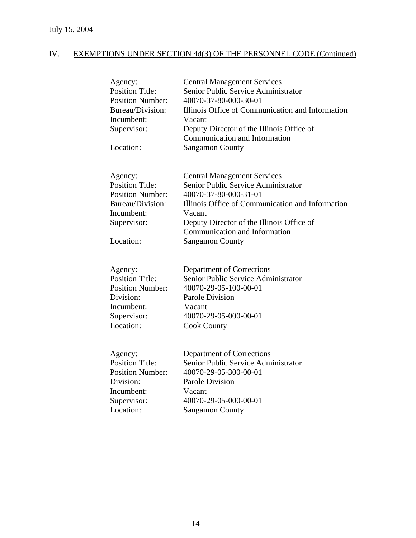| Agency:<br><b>Position Title:</b><br><b>Position Number:</b><br>Bureau/Division:<br>Incumbent:<br>Supervisor:<br>Location: | <b>Central Management Services</b><br>Senior Public Service Administrator<br>40070-37-80-000-30-01<br>Illinois Office of Communication and Information<br>Vacant<br>Deputy Director of the Illinois Office of<br>Communication and Information<br><b>Sangamon County</b> |
|----------------------------------------------------------------------------------------------------------------------------|--------------------------------------------------------------------------------------------------------------------------------------------------------------------------------------------------------------------------------------------------------------------------|
| Agency:<br><b>Position Title:</b><br><b>Position Number:</b><br>Bureau/Division:<br>Incumbent:<br>Supervisor:<br>Location: | <b>Central Management Services</b><br>Senior Public Service Administrator<br>40070-37-80-000-31-01<br>Illinois Office of Communication and Information<br>Vacant<br>Deputy Director of the Illinois Office of<br>Communication and Information<br><b>Sangamon County</b> |
| Agency:<br><b>Position Title:</b><br><b>Position Number:</b><br>Division:<br>Incumbent:<br>Supervisor:<br>Location:        | Department of Corrections<br>Senior Public Service Administrator<br>40070-29-05-100-00-01<br><b>Parole Division</b><br>Vacant<br>40070-29-05-000-00-01<br><b>Cook County</b>                                                                                             |
| Agency:<br><b>Position Title:</b><br><b>Position Number:</b><br>Division:<br>Incumbent:<br>Supervisor:<br>Location:        | Department of Corrections<br>Senior Public Service Administrator<br>40070-29-05-300-00-01<br>Parole Division<br>Vacant<br>40070-29-05-000-00-01<br><b>Sangamon County</b>                                                                                                |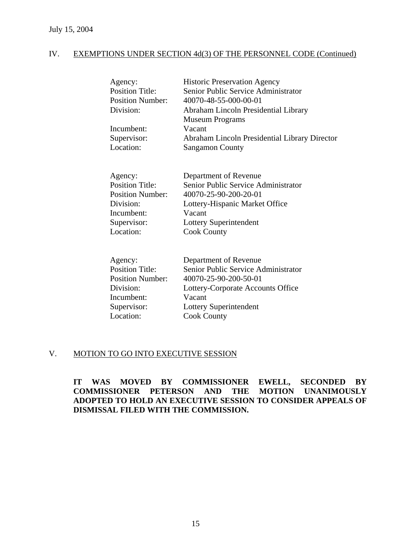| Agency:                 | <b>Historic Preservation Agency</b>           |
|-------------------------|-----------------------------------------------|
| <b>Position Title:</b>  | Senior Public Service Administrator           |
| <b>Position Number:</b> | 40070-48-55-000-00-01                         |
| Division:               | Abraham Lincoln Presidential Library          |
|                         | <b>Museum Programs</b>                        |
| Incumbent:              | Vacant                                        |
| Supervisor:             | Abraham Lincoln Presidential Library Director |
| Location:               | <b>Sangamon County</b>                        |
|                         |                                               |

| Agency:                 | Department of Revenue               |
|-------------------------|-------------------------------------|
| <b>Position Title:</b>  | Senior Public Service Administrator |
| <b>Position Number:</b> | 40070-25-90-200-20-01               |
| Division:               | Lottery-Hispanic Market Office      |
| Incumbent:              | Vacant                              |
| Supervisor:             | Lottery Superintendent              |
| Location:               | <b>Cook County</b>                  |

| Agency:                 | Department of Revenue               |
|-------------------------|-------------------------------------|
| <b>Position Title:</b>  | Senior Public Service Administrator |
| <b>Position Number:</b> | 40070-25-90-200-50-01               |
| Division:               | Lottery-Corporate Accounts Office   |
| Incumbent:              | Vacant                              |
| Supervisor:             | Lottery Superintendent              |
| Location:               | <b>Cook County</b>                  |

### V. MOTION TO GO INTO EXECUTIVE SESSION

**IT WAS MOVED BY COMMISSIONER EWELL, SECONDED BY COMMISSIONER PETERSON AND THE MOTION UNANIMOUSLY ADOPTED TO HOLD AN EXECUTIVE SESSION TO CONSIDER APPEALS OF DISMISSAL FILED WITH THE COMMISSION.**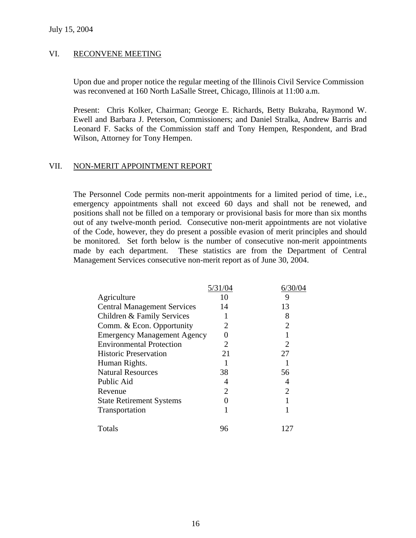### VI. RECONVENE MEETING

Upon due and proper notice the regular meeting of the Illinois Civil Service Commission was reconvened at 160 North LaSalle Street, Chicago, Illinois at 11:00 a.m.

Present: Chris Kolker, Chairman; George E. Richards, Betty Bukraba, Raymond W. Ewell and Barbara J. Peterson, Commissioners; and Daniel Stralka, Andrew Barris and Leonard F. Sacks of the Commission staff and Tony Hempen, Respondent, and Brad Wilson, Attorney for Tony Hempen.

### VII. NON-MERIT APPOINTMENT REPORT

The Personnel Code permits non-merit appointments for a limited period of time, i.e., emergency appointments shall not exceed 60 days and shall not be renewed, and positions shall not be filled on a temporary or provisional basis for more than six months out of any twelve-month period. Consecutive non-merit appointments are not violative of the Code, however, they do present a possible evasion of merit principles and should be monitored. Set forth below is the number of consecutive non-merit appointments made by each department. These statistics are from the Department of Central Management Services consecutive non-merit report as of June 30, 2004.

| 5/31/04               | 6/30/04                     |
|-----------------------|-----------------------------|
| 10                    | 9                           |
| 14                    | 13                          |
|                       | 8                           |
|                       | $\overline{2}$              |
|                       |                             |
|                       |                             |
| 21                    | 27                          |
|                       |                             |
| 38                    | 56                          |
| 4                     | 4                           |
| $\mathcal{D}_{\cdot}$ | $\mathcal{D}_{\mathcal{L}}$ |
|                       |                             |
|                       |                             |
| 96                    | 127                         |
|                       |                             |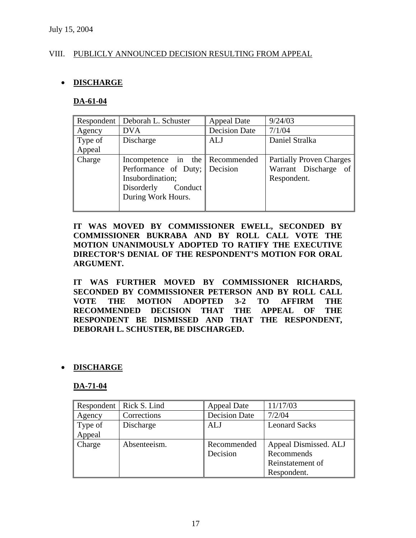### VIII. PUBLICLY ANNOUNCED DECISION RESULTING FROM APPEAL

### • **DISCHARGE**

### **DA-61-04**

| Respondent | Deborah L. Schuster                                                                                                                   | <b>Appeal Date</b>   | 9/24/03                                                                |
|------------|---------------------------------------------------------------------------------------------------------------------------------------|----------------------|------------------------------------------------------------------------|
| Agency     | <b>DVA</b>                                                                                                                            | <b>Decision Date</b> | 7/1/04                                                                 |
| Type of    | Discharge                                                                                                                             | <b>ALJ</b>           | Daniel Stralka                                                         |
| Appeal     |                                                                                                                                       |                      |                                                                        |
| Charge     | Incompetence in the Recommended<br>Performance of Duty;   Decision<br>Insubordination;<br>Conduct<br>Disorderly<br>During Work Hours. |                      | <b>Partially Proven Charges</b><br>Warrant Discharge of<br>Respondent. |
|            |                                                                                                                                       |                      |                                                                        |

**IT WAS MOVED BY COMMISSIONER EWELL, SECONDED BY COMMISSIONER BUKRABA AND BY ROLL CALL VOTE THE MOTION UNANIMOUSLY ADOPTED TO RATIFY THE EXECUTIVE DIRECTOR'S DENIAL OF THE RESPONDENT'S MOTION FOR ORAL ARGUMENT.** 

**IT WAS FURTHER MOVED BY COMMISSIONER RICHARDS, SECONDED BY COMMISSIONER PETERSON AND BY ROLL CALL VOTE THE MOTION ADOPTED 3-2 TO AFFIRM THE RECOMMENDED DECISION THAT THE APPEAL OF THE RESPONDENT BE DISMISSED AND THAT THE RESPONDENT, DEBORAH L. SCHUSTER, BE DISCHARGED.** 

### • **DISCHARGE**

#### **DA-71-04**

| Respondent | Rick S. Lind | <b>Appeal Date</b>   | 11/17/03              |
|------------|--------------|----------------------|-----------------------|
| Agency     | Corrections  | <b>Decision Date</b> | 7/2/04                |
| Type of    | Discharge    | <b>ALJ</b>           | <b>Leonard Sacks</b>  |
| Appeal     |              |                      |                       |
| Charge     | Absenteeism. | Recommended          | Appeal Dismissed. ALJ |
|            |              | Decision             | Recommends            |
|            |              |                      | Reinstatement of      |
|            |              |                      | Respondent.           |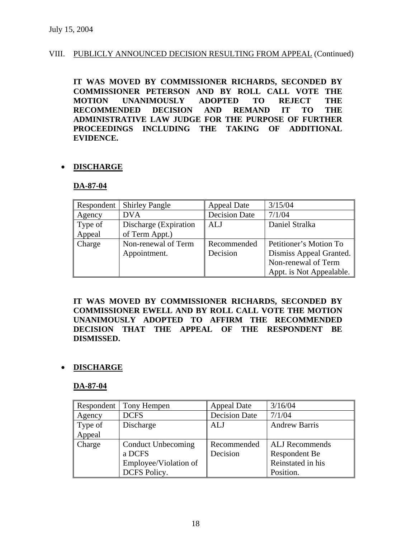### VIII. PUBLICLY ANNOUNCED DECISION RESULTING FROM APPEAL (Continued)

**IT WAS MOVED BY COMMISSIONER RICHARDS, SECONDED BY COMMISSIONER PETERSON AND BY ROLL CALL VOTE THE MOTION UNANIMOUSLY ADOPTED TO REJECT THE RECOMMENDED DECISION AND REMAND IT TO THE ADMINISTRATIVE LAW JUDGE FOR THE PURPOSE OF FURTHER PROCEEDINGS INCLUDING THE TAKING OF ADDITIONAL EVIDENCE.** 

### • **DISCHARGE**

### **DA-87-04**

| Respondent | <b>Shirley Pangle</b>  | Appeal Date          | 3/15/04                  |
|------------|------------------------|----------------------|--------------------------|
| Agency     | <b>DVA</b>             | <b>Decision Date</b> | 7/1/04                   |
| Type of    | Discharge (Expiration) | ALJ                  | Daniel Stralka           |
| Appeal     | of Term Appt.)         |                      |                          |
| Charge     | Non-renewal of Term    | Recommended          | Petitioner's Motion To   |
|            | Appointment.           | Decision             | Dismiss Appeal Granted.  |
|            |                        |                      | Non-renewal of Term      |
|            |                        |                      | Appt. is Not Appealable. |

**IT WAS MOVED BY COMMISSIONER RICHARDS, SECONDED BY COMMISSIONER EWELL AND BY ROLL CALL VOTE THE MOTION UNANIMOUSLY ADOPTED TO AFFIRM THE RECOMMENDED DECISION THAT THE APPEAL OF THE RESPONDENT BE DISMISSED.** 

### • **DISCHARGE**

#### **DA-87-04**

|         | Respondent   Tony Hempen | <b>Appeal Date</b>   | 3/16/04               |
|---------|--------------------------|----------------------|-----------------------|
| Agency  | <b>DCFS</b>              | <b>Decision Date</b> | 7/1/04                |
| Type of | Discharge                | ALJ                  | <b>Andrew Barris</b>  |
| Appeal  |                          |                      |                       |
| Charge  | Conduct Unbecoming       | Recommended          | <b>ALJ</b> Recommends |
|         | a DCFS                   | Decision             | Respondent Be         |
|         | Employee/Violation of    |                      | Reinstated in his     |
|         | <b>DCFS Policy.</b>      |                      | Position.             |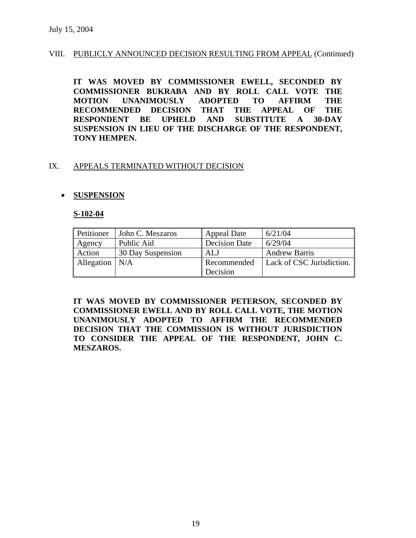### VIII. PUBLICLY ANNOUNCED DECISION RESULTING FROM APPEAL (Continued)

**IT WAS MOVED BY COMMISSIONER EWELL, SECONDED BY COMMISSIONER BUKRABA AND BY ROLL CALL VOTE THE MOTION UNANIMOUSLY ADOPTED TO AFFIRM THE RECOMMENDED DECISION THAT THE APPEAL OF THE RESPONDENT BE UPHELD AND SUBSTITUTE A 30-DAY SUSPENSION IN LIEU OF THE DISCHARGE OF THE RESPONDENT, TONY HEMPEN.** 

### IX. APPEALS TERMINATED WITHOUT DECISION

### • **SUSPENSION**

#### **S-102-04**

| Petitioner       | John C. Meszaros  | <b>Appeal Date</b>   | 6/21/04                   |
|------------------|-------------------|----------------------|---------------------------|
| Agency           | Public Aid        | <b>Decision Date</b> | 6/29/04                   |
| Action           | 30 Day Suspension | ALJ                  | <b>Andrew Barris</b>      |
| Allegation $N/A$ |                   | Recommended          | Lack of CSC Jurisdiction. |
|                  |                   | Decision             |                           |

**IT WAS MOVED BY COMMISSIONER PETERSON, SECONDED BY COMMISSIONER EWELL AND BY ROLL CALL VOTE, THE MOTION UNANIMOUSLY ADOPTED TO AFFIRM THE RECOMMENDED DECISION THAT THE COMMISSION IS WITHOUT JURISDICTION TO CONSIDER THE APPEAL OF THE RESPONDENT, JOHN C. MESZAROS.**